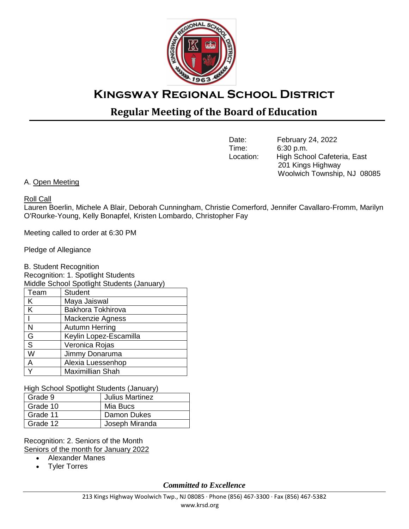

# **Regular Meeting of the Board of Education**

Date: February 24, 2022<br>Time: 6:30 p.m. 6:30 p.m. Location: High School Cafeteria, East 201 Kings Highway Woolwich Township, NJ 08085

# A. Open Meeting

Roll Call

Lauren Boerlin, Michele A Blair, Deborah Cunningham, Christie Comerford, Jennifer Cavallaro-Fromm, Marilyn O'Rourke-Young, Kelly Bonapfel, Kristen Lombardo, Christopher Fay

Meeting called to order at 6:30 PM

Pledge of Allegiance

B. Student Recognition Recognition: 1. Spotlight Students Middle School Spotlight Students (January) Team | Student K | Maya Jaiswal K Bakhora Tokhirova I Mackenzie Agness N Autumn Herring G **Keylin Lopez-Escamilla** S | Veronica Rojas W Jimmy Donaruma A Alexia Luessenhop Y | Maximillian Shah

High School Spotlight Students (January)

| Grade 9  | <b>Julius Martinez</b> |  |  |
|----------|------------------------|--|--|
| Grade 10 | Mia Bucs               |  |  |
| Grade 11 | Damon Dukes            |  |  |
| Grade 12 | Joseph Miranda         |  |  |

Recognition: 2. Seniors of the Month Seniors of the month for January 2022

- Alexander Manes
- Tyler Torres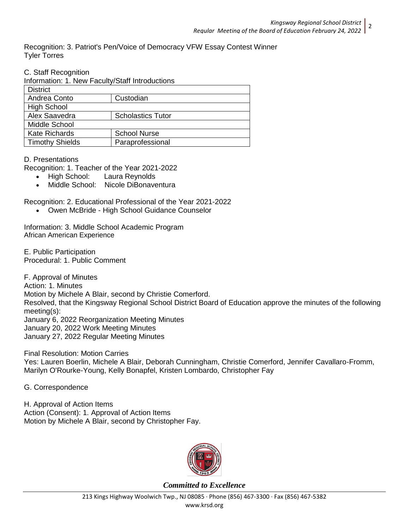Recognition: 3. Patriot's Pen/Voice of Democracy VFW Essay Contest Winner Tyler Torres

C. Staff Recognition

Information: 1. New Faculty/Staff Introductions

| <b>District</b>        |                          |
|------------------------|--------------------------|
| Andrea Conto           | Custodian                |
| <b>High School</b>     |                          |
| Alex Saavedra          | <b>Scholastics Tutor</b> |
| Middle School          |                          |
| <b>Kate Richards</b>   | <b>School Nurse</b>      |
| <b>Timothy Shields</b> | Paraprofessional         |

D. Presentations

Recognition: 1. Teacher of the Year 2021-2022

- High School: Laura Reynolds
- Middle School: Nicole DiBonaventura

Recognition: 2. Educational Professional of the Year 2021-2022

Owen McBride - High School Guidance Counselor

Information: 3. Middle School Academic Program African American Experience

E. Public Participation Procedural: 1. Public Comment

F. Approval of Minutes Action: 1. Minutes Motion by Michele A Blair, second by Christie Comerford. Resolved, that the Kingsway Regional School District Board of Education approve the minutes of the following meeting(s): January 6, 2022 Reorganization Meeting Minutes January 20, 2022 Work Meeting Minutes January 27, 2022 Regular Meeting Minutes

Final Resolution: Motion Carries Yes: Lauren Boerlin, Michele A Blair, Deborah Cunningham, Christie Comerford, Jennifer Cavallaro-Fromm, Marilyn O'Rourke-Young, Kelly Bonapfel, Kristen Lombardo, Christopher Fay

G. Correspondence

H. Approval of Action Items Action (Consent): 1. Approval of Action Items Motion by Michele A Blair, second by Christopher Fay.

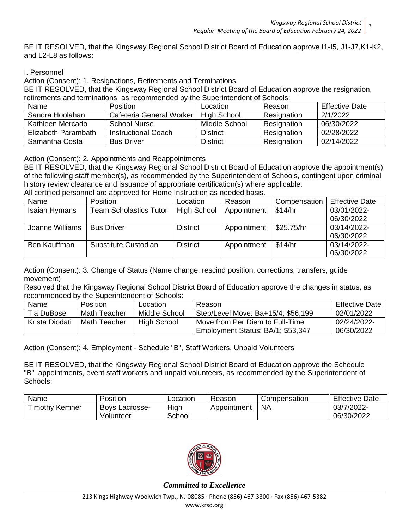BE IT RESOLVED, that the Kingsway Regional School District Board of Education approve I1-I5, J1-J7,K1-K2, and L2-L8 as follows:

# I. Personnel

Action (Consent): 1. Resignations, Retirements and Terminations

BE IT RESOLVED, that the Kingsway Regional School District Board of Education approve the resignation, retirements and terminations, as recommended by the Superintendent of Schools:

| Name                | <b>Position</b>          | Location           | Reason      | <b>Effective Date</b> |
|---------------------|--------------------------|--------------------|-------------|-----------------------|
| Sandra Hoolahan     | Cafeteria General Worker | <b>High School</b> | Resignation | 2/1/2022              |
| Kathleen Mercado    | School Nurse             | Middle School      | Resignation | 06/30/2022            |
| Elizabeth Parambath | Instructional Coach      | <b>District</b>    | Resignation | 02/28/2022            |
| Samantha Costa      | <b>Bus Driver</b>        | <b>District</b>    | Resignation | 02/14/2022            |

Action (Consent): 2. Appointments and Reappointments

BE IT RESOLVED, that the Kingsway Regional School District Board of Education approve the appointment(s) of the following staff member(s), as recommended by the Superintendent of Schools, contingent upon criminal history review clearance and issuance of appropriate certification(s) where applicable:

All certified personnel are approved for Home Instruction as needed basis.

| Name                 | <b>Position</b>               | Location           | Reason      | Compensation | <b>Effective Date</b> |
|----------------------|-------------------------------|--------------------|-------------|--------------|-----------------------|
| <b>Isaiah Hymans</b> | <b>Team Scholastics Tutor</b> | <b>High School</b> | Appointment | \$14/hr      | 03/01/2022-           |
|                      |                               |                    |             |              | 06/30/2022            |
| Joanne Williams      | <b>Bus Driver</b>             | <b>District</b>    | Appointment | \$25.75/hr   | 03/14/2022-           |
|                      |                               |                    |             |              | 06/30/2022            |
| Ben Kauffman         | Substitute Custodian          | <b>District</b>    | Appointment | \$14/hr      | 03/14/2022-           |
|                      |                               |                    |             |              | 06/30/2022            |

Action (Consent): 3. Change of Status (Name change, rescind position, corrections, transfers, guide movement)

Resolved that the Kingsway Regional School District Board of Education approve the changes in status, as recommended by the Superintendent of Schools:

| Name           | <b>Position</b> | Location      | Reason                             | <b>Effective Date</b> |
|----------------|-----------------|---------------|------------------------------------|-----------------------|
| Tia DuBose     | Math Teacher    | Middle School | Step/Level Move: Ba+15/4; \$56,199 | 02/01/2022            |
| Krista Diodati | Math Teacher    | High School   | Move from Per Diem to Full-Time    | 02/24/2022-           |
|                |                 |               | Employment Status: BA/1; \$53,347  | 06/30/2022            |

Action (Consent): 4. Employment - Schedule "B", Staff Workers, Unpaid Volunteers

BE IT RESOLVED, that the Kingsway Regional School District Board of Education approve the Schedule "B" appointments, event staff workers and unpaid volunteers, as recommended by the Superintendent of Schools:

| Name                  | Position       | Location | Reason      | Compensation | <b>Effective Date</b> |
|-----------------------|----------------|----------|-------------|--------------|-----------------------|
| <b>Timothy Kemner</b> | Bovs Lacrosse- | High     | Appointment | <b>NA</b>    | 03/7/2022-            |
|                       | Volunteer      | School   |             |              | 06/30/2022            |

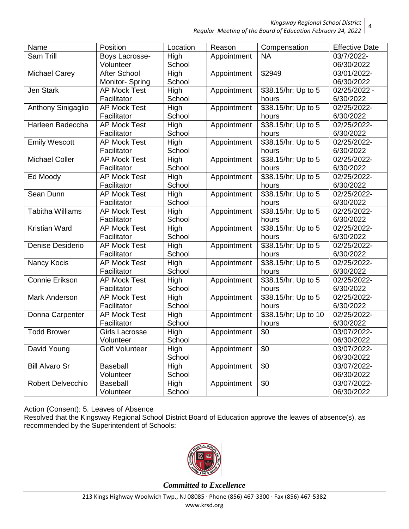| Regular Meeting of the Board of Education February 24, 2022 |
|-------------------------------------------------------------|
|-------------------------------------------------------------|

| Name                      | Position              | Location | Reason      | Compensation         | <b>Effective Date</b> |
|---------------------------|-----------------------|----------|-------------|----------------------|-----------------------|
| Sam Trill                 | Boys Lacrosse-        | High     | Appointment | <b>NA</b>            | 03/7/2022-            |
|                           | Volunteer             | School   |             |                      | 06/30/2022            |
| <b>Michael Carey</b>      | After School          | High     | Appointment | \$2949               | 03/01/2022-           |
|                           | Monitor-Spring        | School   |             |                      | 06/30/2022            |
| Jen Stark                 | <b>AP Mock Test</b>   | High     | Appointment | \$38.15/hr; Up to 5  | 02/25/2022 -          |
|                           | Facilitator           | School   |             | hours                | 6/30/2022             |
| <b>Anthony Sinigaglio</b> | <b>AP Mock Test</b>   | High     | Appointment | \$38.15/hr; Up to 5  | 02/25/2022-           |
|                           | Facilitator           | School   |             | hours                | 6/30/2022             |
| Harleen Badeccha          | <b>AP Mock Test</b>   | High     | Appointment | \$38.15/hr; Up to 5  | 02/25/2022-           |
|                           | Facilitator           | School   |             | hours                | 6/30/2022             |
| <b>Emily Wescott</b>      | <b>AP Mock Test</b>   | High     | Appointment | \$38.15/hr; Up to 5  | 02/25/2022-           |
|                           | Facilitator           | School   |             | hours                | 6/30/2022             |
| <b>Michael Coller</b>     | <b>AP Mock Test</b>   | High     | Appointment | \$38.15/hr; Up to 5  | 02/25/2022-           |
|                           | Facilitator           | School   |             | hours                | 6/30/2022             |
| Ed Moody                  | <b>AP Mock Test</b>   | High     | Appointment | \$38.15/hr; Up to 5  | 02/25/2022-           |
|                           | Facilitator           | School   |             | hours                | 6/30/2022             |
| Sean Dunn                 | <b>AP Mock Test</b>   | High     | Appointment | \$38.15/hr; Up to 5  | 02/25/2022-           |
|                           | Facilitator           | School   |             | hours                | 6/30/2022             |
| <b>Tabitha Williams</b>   | <b>AP Mock Test</b>   | High     | Appointment | \$38.15/hr; Up to 5  | 02/25/2022-           |
|                           | Facilitator           | School   |             | hours                | 6/30/2022             |
| Kristian Ward             | <b>AP Mock Test</b>   | High     | Appointment | \$38.15/hr; Up to 5  | 02/25/2022-           |
|                           | Facilitator           | School   |             | hours                | 6/30/2022             |
| Denise Desiderio          | <b>AP Mock Test</b>   | High     | Appointment | \$38.15/hr; Up to 5  | 02/25/2022-           |
|                           | Facilitator           | School   |             | hours                | 6/30/2022             |
| Nancy Kocis               | <b>AP Mock Test</b>   | High     | Appointment | \$38.15/hr; Up to 5  | 02/25/2022-           |
|                           | Facilitator           | School   |             | hours                | 6/30/2022             |
| <b>Connie Erikson</b>     | <b>AP Mock Test</b>   | High     | Appointment | \$38.15/hr; Up to 5  | 02/25/2022-           |
|                           | Facilitator           | School   |             | hours                | 6/30/2022             |
| Mark Anderson             | <b>AP Mock Test</b>   | High     | Appointment | \$38.15/hr; Up to 5  | 02/25/2022-           |
|                           | Facilitator           | School   |             | hours                | 6/30/2022             |
| Donna Carpenter           | <b>AP Mock Test</b>   | High     | Appointment | \$38.15/hr; Up to 10 | 02/25/2022-           |
|                           | Facilitator           | School   |             | hours                | 6/30/2022             |
| <b>Todd Brower</b>        | Girls Lacrosse        | High     | Appointment | \$0                  | 03/07/2022-           |
|                           | Volunteer             | School   |             |                      | 06/30/2022            |
| David Young               | <b>Golf Volunteer</b> | High     | Appointment | \$0                  | 03/07/2022-           |
|                           |                       | School   |             |                      | 06/30/2022            |
| <b>Bill Alvaro Sr</b>     | Baseball              | High     | Appointment | \$0                  | 03/07/2022-           |
|                           | Volunteer             | School   |             |                      | 06/30/2022            |
| <b>Robert Delvecchio</b>  | Baseball              | High     | Appointment | \$0                  | 03/07/2022-           |
|                           | Volunteer             | School   |             |                      | 06/30/2022            |

Action (Consent): 5. Leaves of Absence

Resolved that the Kingsway Regional School District Board of Education approve the leaves of absence(s), as recommended by the Superintendent of Schools:

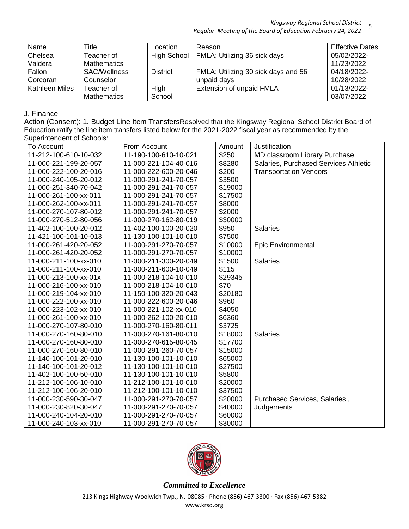| Name           | Title               | ∟ocation        | Reason                              | <b>Effective Dates</b> |
|----------------|---------------------|-----------------|-------------------------------------|------------------------|
| Chelsea        | Teacher of          | High School     | FMLA; Utilizing 36 sick days        | 05/02/2022-            |
| Valdera        | <b>Mathematics</b>  |                 |                                     | 11/23/2022             |
| Fallon         | <b>SAC/Wellness</b> | <b>District</b> | FMLA; Utilizing 30 sick days and 56 | 04/18/2022-            |
| Corcoran       | Counselor           |                 | unpaid days                         | 10/28/2022             |
| Kathleen Miles | Teacher of          | High            | Extension of unpaid FMLA            | 01/13/2022-            |
|                | <b>Mathematics</b>  | School          |                                     | 03/07/2022             |

## J. Finance

Action (Consent): 1. Budget Line Item TransfersResolved that the Kingsway Regional School District Board of Education ratify the line item transfers listed below for the 2021-2022 fiscal year as recommended by the Superintendent of Schools:

| To Account            | From Account          | Amount  | Justification                         |
|-----------------------|-----------------------|---------|---------------------------------------|
| 11-212-100-610-10-032 | 11-190-100-610-10-021 | \$250   | MD classroom Library Purchase         |
| 11-000-221-199-20-057 | 11-000-221-104-40-016 | \$8280  | Salaries, Purchased Services Athletic |
| 11-000-222-100-20-016 | 11-000-222-600-20-046 | \$200   | <b>Transportation Vendors</b>         |
| 11-000-240-105-20-012 | 11-000-291-241-70-057 | \$3500  |                                       |
| 11-000-251-340-70-042 | 11-000-291-241-70-057 | \$19000 |                                       |
| 11-000-261-100-xx-011 | 11-000-291-241-70-057 | \$17500 |                                       |
| 11-000-262-100-xx-011 | 11-000-291-241-70-057 | \$8000  |                                       |
| 11-000-270-107-80-012 | 11-000-291-241-70-057 | \$2000  |                                       |
| 11-000-270-512-80-056 | 11-000-270-162-80-019 | \$30000 |                                       |
| 11-402-100-100-20-012 | 11-402-100-100-20-020 | \$950   | <b>Salaries</b>                       |
| 11-421-100-101-10-013 | 11-130-100-101-10-010 | \$7500  |                                       |
| 11-000-261-420-20-052 | 11-000-291-270-70-057 | \$10000 | <b>Epic Environmental</b>             |
| 11-000-261-420-20-052 | 11-000-291-270-70-057 | \$10000 |                                       |
| 11-000-211-100-xx-010 | 11-000-211-300-20-049 | \$1500  | <b>Salaries</b>                       |
| 11-000-211-100-xx-010 | 11-000-211-600-10-049 | \$115   |                                       |
| 11-000-213-100-xx-01x | 11-000-218-104-10-010 | \$29345 |                                       |
| 11-000-216-100-xx-010 | 11-000-218-104-10-010 | \$70    |                                       |
| 11-000-219-104-xx-010 | 11-150-100-320-20-043 | \$20180 |                                       |
| 11-000-222-100-xx-010 | 11-000-222-600-20-046 | \$960   |                                       |
| 11-000-223-102-xx-010 | 11-000-221-102-xx-010 | \$4050  |                                       |
| 11-000-261-100-xx-010 | 11-000-262-100-20-010 | \$6360  |                                       |
| 11-000-270-107-80-010 | 11-000-270-160-80-011 | \$3725  |                                       |
| 11-000-270-160-80-010 | 11-000-270-161-80-010 | \$18000 | <b>Salaries</b>                       |
| 11-000-270-160-80-010 | 11-000-270-615-80-045 | \$17700 |                                       |
| 11-000-270-160-80-010 | 11-000-291-260-70-057 | \$15000 |                                       |
| 11-140-100-101-20-010 | 11-130-100-101-10-010 | \$65000 |                                       |
| 11-140-100-101-20-012 | 11-130-100-101-10-010 | \$27500 |                                       |
| 11-402-100-100-50-010 | 11-130-100-101-10-010 | \$5800  |                                       |
| 11-212-100-106-10-010 | 11-212-100-101-10-010 | \$20000 |                                       |
| 11-212-100-106-20-010 | 11-212-100-101-10-010 | \$37500 |                                       |
| 11-000-230-590-30-047 | 11-000-291-270-70-057 | \$20000 | Purchased Services, Salaries,         |
| 11-000-230-820-30-047 | 11-000-291-270-70-057 | \$40000 | Judgements                            |
| 11-000-240-104-20-010 | 11-000-291-270-70-057 | \$60000 |                                       |
| 11-000-240-103-xx-010 | 11-000-291-270-70-057 | \$30000 |                                       |

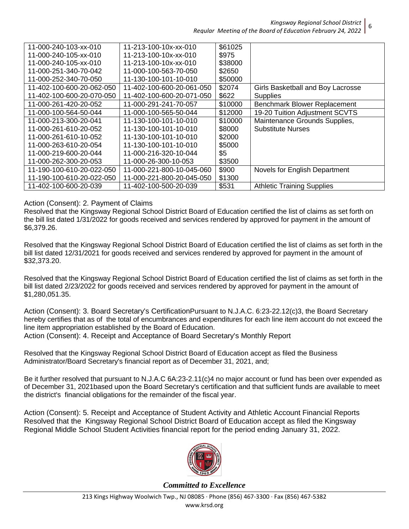| 11-000-240-103-xx-010     | 11-213-100-10x-xx-010            | \$61025 |                                     |
|---------------------------|----------------------------------|---------|-------------------------------------|
| 11-000-240-105-xx-010     | $11 - 213 - 100 - 10x - x - 010$ | \$975   |                                     |
| 11-000-240-105-xx-010     | 11-213-100-10x-xx-010            | \$38000 |                                     |
| 11-000-251-340-70-042     | 11-000-100-563-70-050            | \$2650  |                                     |
| 11-000-252-340-70-050     | 11-130-100-101-10-010            | \$50000 |                                     |
| 11-402-100-600-20-062-050 | 11-402-100-600-20-061-050        | \$2074  | Girls Basketball and Boy Lacrosse   |
| 11-402-100-600-20-070-050 | 11-402-100-600-20-071-050        | \$622   | <b>Supplies</b>                     |
| 11-000-261-420-20-052     | 11-000-291-241-70-057            | \$10000 | <b>Benchmark Blower Replacement</b> |
| 11-000-100-564-50-044     | 11-000-100-565-50-044            | \$12000 | 19-20 Tuition Adjustment SCVTS      |
| 11-000-213-300-20-041     | 11-130-100-101-10-010            | \$10000 | Maintenance Grounds Supplies,       |
| 11-000-261-610-20-052     | 11-130-100-101-10-010            | \$8000  | Substitute Nurses                   |
| 11-000-261-610-10-052     | 11-130-100-101-10-010            | \$2000  |                                     |
| 11-000-263-610-20-054     | 11-130-100-101-10-010            | \$5000  |                                     |
| 11-000-219-600-20-044     | 11-000-216-320-10-044            | \$5     |                                     |
| 11-000-262-300-20-053     | 11-000-26-300-10-053             | \$3500  |                                     |
| 11-190-100-610-20-022-050 | 11-000-221-800-10-045-060        | \$900   | Novels for English Department       |
| 11-190-100-610-20-022-050 | 11-000-221-800-20-045-050        | \$1300  |                                     |
| 11-402-100-600-20-039     | 11-402-100-500-20-039            | \$531   | <b>Athletic Training Supplies</b>   |

Action (Consent): 2. Payment of Claims

Resolved that the Kingsway Regional School District Board of Education certified the list of claims as set forth on the bill list dated 1/31/2022 for goods received and services rendered by approved for payment in the amount of \$6,379.26.

Resolved that the Kingsway Regional School District Board of Education certified the list of claims as set forth in the bill list dated 12/31/2021 for goods received and services rendered by approved for payment in the amount of \$32,373.20.

Resolved that the Kingsway Regional School District Board of Education certified the list of claims as set forth in the bill list dated 2/23/2022 for goods received and services rendered by approved for payment in the amount of \$1,280,051.35.

Action (Consent): 3. Board Secretary's CertificationPursuant to N.J.A.C. 6:23-22.12(c)3, the Board Secretary hereby certifies that as of the total of encumbrances and expenditures for each line item account do not exceed the line item appropriation established by the Board of Education. Action (Consent): 4. Receipt and Acceptance of Board Secretary's Monthly Report

Resolved that the Kingsway Regional School District Board of Education accept as filed the Business Administrator/Board Secretary's financial report as of December 31, 2021, and;

Be it further resolved that pursuant to N.J.A.C 6A:23-2.11(c)4 no major account or fund has been over expended as of December 31, 2021based upon the Board Secretary's certification and that sufficient funds are available to meet the district's financial obligations for the remainder of the fiscal year.

Action (Consent): 5. Receipt and Acceptance of Student Activity and Athletic Account Financial Reports Resolved that the Kingsway Regional School District Board of Education accept as filed the Kingsway Regional Middle School Student Activities financial report for the period ending January 31, 2022.



*Committed to Excellence*

6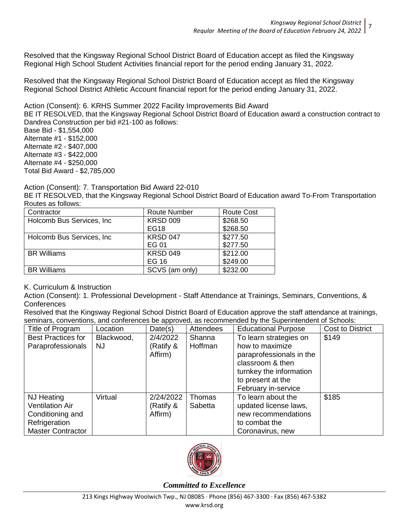Resolved that the Kingsway Regional School District Board of Education accept as filed the Kingsway Regional High School Student Activities financial report for the period ending January 31, 2022.

Resolved that the Kingsway Regional School District Board of Education accept as filed the Kingsway Regional School District Athletic Account financial report for the period ending January 31, 2022.

Action (Consent): 6. KRHS Summer 2022 Facility Improvements Bid Award

BE IT RESOLVED, that the Kingsway Regional School District Board of Education award a construction contract to Dandrea Construction per bid #21-100 as follows:

Base Bid - \$1,554,000 Alternate #1 - \$152,000 Alternate #2 - \$407,000 Alternate #3 - \$422,000 Alternate #4 - \$250,000 Total Bid Award - \$2,785,000

Action (Consent): 7. Transportation Bid Award 22-010

BE IT RESOLVED, that the Kingsway Regional School District Board of Education award To-From Transportation Routes as follows:

| Contractor                 | <b>Route Number</b> | <b>Route Cost</b> |
|----------------------------|---------------------|-------------------|
| Holcomb Bus Services, Inc. | <b>KRSD 009</b>     | \$268.50          |
|                            | EG18                | \$268.50          |
| Holcomb Bus Services, Inc. | <b>KRSD 047</b>     | \$277.50          |
|                            | EG 01               | \$277.50          |
| <b>BR</b> Williams         | <b>KRSD 049</b>     | \$212.00          |
|                            | EG 16               | \$249.00          |
| <b>BR Williams</b>         | SCVS (am only)      | \$232.00          |

# K. Curriculum & Instruction

Action (Consent): 1. Professional Development - Staff Attendance at Trainings, Seminars, Conventions, & **Conferences** 

Resolved that the Kingsway Regional School District Board of Education approve the staff attendance at trainings, seminars, conventions, and conferences be approved, as recommended by the Superintendent of Schools:

| Title of Program          | Location   | Date(s)   | <b>Attendees</b> | <b>Educational Purpose</b> | Cost to District |
|---------------------------|------------|-----------|------------------|----------------------------|------------------|
| <b>Best Practices for</b> | Blackwood, | 2/4/2022  | Shanna           | To learn strategies on     | \$149            |
| Paraprofessionals         | NJ.        | (Ratify & | Hoffman          | how to maximize            |                  |
|                           |            | Affirm)   |                  | paraprofessionals in the   |                  |
|                           |            |           |                  | classroom & then           |                  |
|                           |            |           |                  | turnkey the information    |                  |
|                           |            |           |                  | to present at the          |                  |
|                           |            |           |                  | February in-service        |                  |
| NJ Heating                | Virtual    | 2/24/2022 | Thomas           | To learn about the         | \$185            |
| <b>Ventilation Air</b>    |            | (Ratify & | Sabetta          | updated license laws,      |                  |
| Conditioning and          |            | Affirm)   |                  | new recommendations        |                  |
| Refrigeration             |            |           |                  | to combat the              |                  |
| <b>Master Contractor</b>  |            |           |                  | Coronavirus, new           |                  |

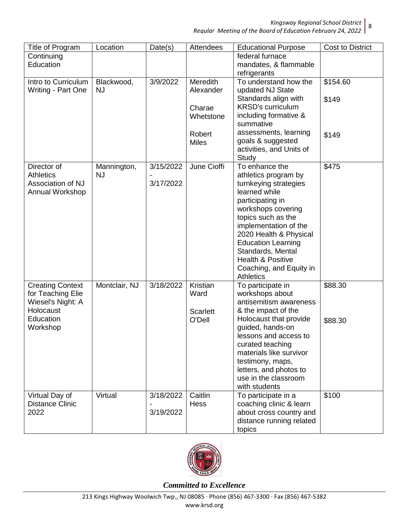*Regular Meeting of the Board of Education February 24, 2022* 8

| Title of Program                                                               | Location                 | Date(s)                | Attendees                           | <b>Educational Purpose</b>                                                                                                                                                                                                                                                                                                | <b>Cost to District</b> |
|--------------------------------------------------------------------------------|--------------------------|------------------------|-------------------------------------|---------------------------------------------------------------------------------------------------------------------------------------------------------------------------------------------------------------------------------------------------------------------------------------------------------------------------|-------------------------|
| Continuing<br>Education                                                        |                          |                        |                                     | federal furnace<br>mandates, & flammable<br>refrigerants                                                                                                                                                                                                                                                                  |                         |
| Intro to Curriculum<br>Writing - Part One                                      | Blackwood,<br><b>NJ</b>  | 3/9/2022               | <b>Meredith</b><br>Alexander        | To understand how the<br>updated NJ State<br>Standards align with                                                                                                                                                                                                                                                         | \$154.60<br>\$149       |
|                                                                                |                          |                        | Charae<br>Whetstone                 | <b>KRSD's curriculum</b><br>including formative &<br>summative                                                                                                                                                                                                                                                            |                         |
|                                                                                |                          |                        | Robert<br><b>Miles</b>              | assessments, learning<br>goals & suggested<br>activities, and Units of<br>Study                                                                                                                                                                                                                                           | \$149                   |
| Director of<br><b>Athletics</b><br>Association of NJ<br>Annual Workshop        | Mannington,<br><b>NJ</b> | 3/15/2022<br>3/17/2022 | June Cioffi                         | To enhance the<br>athletics program by<br>turnkeying strategies<br>learned while<br>participating in<br>workshops covering<br>topics such as the<br>implementation of the<br>2020 Health & Physical<br><b>Education Learning</b><br>Standards, Mental<br>Health & Positive<br>Coaching, and Equity in<br><b>Athletics</b> | \$475                   |
| <b>Creating Context</b><br>for Teaching Elie<br>Wiesel's Night: A<br>Holocaust | Montclair, NJ            | 3/18/2022              | Kristian<br>Ward<br><b>Scarlett</b> | To participate in<br>workshops about<br>antisemitism awareness<br>& the impact of the                                                                                                                                                                                                                                     | \$88.30                 |
| Education<br>Workshop                                                          |                          |                        | O'Dell                              | Holocaust that provide<br>guided, hands-on<br>lessons and access to<br>curated teaching<br>materials like survivor<br>testimony, maps,<br>letters, and photos to<br>use in the classroom<br>with students                                                                                                                 | \$88.30                 |
| Virtual Day of<br><b>Distance Clinic</b><br>2022                               | Virtual                  | 3/18/2022<br>3/19/2022 | Caitlin<br><b>Hess</b>              | To participate in a<br>coaching clinic & learn<br>about cross country and<br>distance running related<br>topics                                                                                                                                                                                                           | \$100                   |

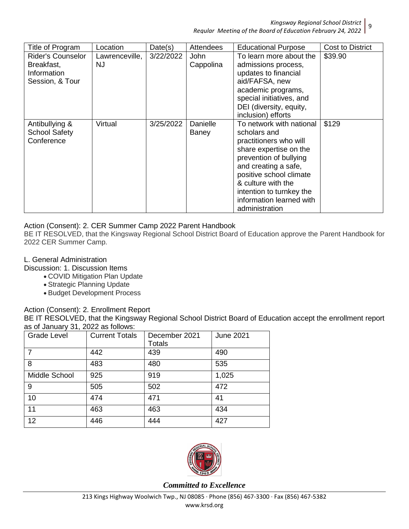*Regular Meeting of the Board of Education February 24, 2022*

| Title of Program         | Location       | Date(s)   | <b>Attendees</b> | <b>Educational Purpose</b> | Cost to District |
|--------------------------|----------------|-----------|------------------|----------------------------|------------------|
| <b>Rider's Counselor</b> | Lawrenceville, | 3/22/2022 | <b>John</b>      | To learn more about the    | \$39.90          |
| Breakfast,               | <b>NJ</b>      |           | Cappolina        | admissions process,        |                  |
| Information              |                |           |                  | updates to financial       |                  |
| Session, & Tour          |                |           |                  | aid/FAFSA, new             |                  |
|                          |                |           |                  | academic programs,         |                  |
|                          |                |           |                  | special initiatives, and   |                  |
|                          |                |           |                  | DEI (diversity, equity,    |                  |
|                          |                |           |                  | inclusion) efforts         |                  |
| Antibullying &           | Virtual        | 3/25/2022 | Danielle         | To network with national   | \$129            |
| <b>School Safety</b>     |                |           | Baney            | scholars and               |                  |
| Conference               |                |           |                  | practitioners who will     |                  |
|                          |                |           |                  | share expertise on the     |                  |
|                          |                |           |                  | prevention of bullying     |                  |
|                          |                |           |                  | and creating a safe,       |                  |
|                          |                |           |                  | positive school climate    |                  |
|                          |                |           |                  | & culture with the         |                  |
|                          |                |           |                  | intention to turnkey the   |                  |
|                          |                |           |                  | information learned with   |                  |
|                          |                |           |                  | administration             |                  |

#### Action (Consent): 2. CER Summer Camp 2022 Parent Handbook

BE IT RESOLVED, that the Kingsway Regional School District Board of Education approve the Parent Handbook for 2022 CER Summer Camp.

#### L. General Administration

Discussion: 1. Discussion Items

- COVID Mitigation Plan Update
- Strategic Planning Update
- Budget Development Process

# Action (Consent): 2. Enrollment Report

BE IT RESOLVED, that the Kingsway Regional School District Board of Education accept the enrollment report as of January 31, 2022 as follows:

| <b>Grade Level</b> | <b>Current Totals</b> | December 2021<br><b>Totals</b> | <b>June 2021</b> |
|--------------------|-----------------------|--------------------------------|------------------|
|                    | 442                   | 439                            | 490              |
| 8                  | 483                   | 480                            | 535              |
| Middle School      | 925                   | 919                            | 1,025            |
| 9                  | 505                   | 502                            | 472              |
| 10                 | 474                   | 471                            | 41               |
| 11                 | 463                   | 463                            | 434              |
| 12                 | 446                   | 444                            | 427              |

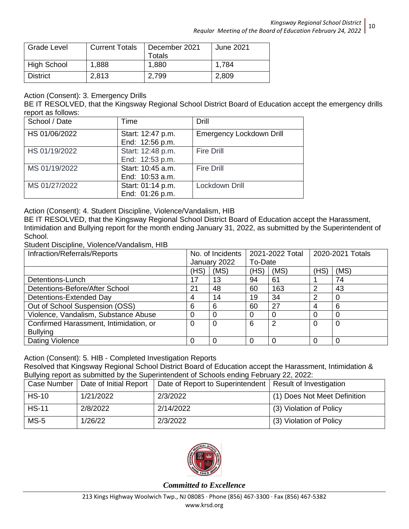| Grade Level        | <b>Current Totals</b> | December 2021<br>Totals | June 2021 |
|--------------------|-----------------------|-------------------------|-----------|
| <b>High School</b> | 1,888                 | 1,880                   | 1,784     |
| <b>District</b>    | 2,813                 | 2,799                   | 2,809     |

## Action (Consent): 3. Emergency Drills

BE IT RESOLVED, that the Kingsway Regional School District Board of Education accept the emergency drills report as follows:

| School / Date | Time                                 | Drill                           |
|---------------|--------------------------------------|---------------------------------|
| HS 01/06/2022 | Start: 12:47 p.m.<br>End: 12:56 p.m. | <b>Emergency Lockdown Drill</b> |
| HS 01/19/2022 | Start: 12:48 p.m.<br>End: 12:53 p.m. | <b>Fire Drill</b>               |
| MS 01/19/2022 | Start: 10:45 a.m.<br>End: 10:53 a.m. | <b>Fire Drill</b>               |
| MS 01/27/2022 | Start: 01:14 p.m.<br>End: 01:26 p.m. | Lockdown Drill                  |

Action (Consent): 4. Student Discipline, Violence/Vandalism, HIB

BE IT RESOLVED, that the Kingsway Regional School District Board of Education accept the Harassment, Intimidation and Bullying report for the month ending January 31, 2022, as submitted by the Superintendent of School.

Student Discipline, Violence/Vandalism, HIB

| Infraction/Referrals/Reports           |      | No. of Incidents |          | 2021-2022 Total |          | 2020-2021 Totals |  |
|----------------------------------------|------|------------------|----------|-----------------|----------|------------------|--|
|                                        |      | January 2022     | To-Date  |                 |          |                  |  |
|                                        | (HS) | (MS)             | (HS)     | (MS)            | (HS)     | (MS)             |  |
| Detentions-Lunch                       | 17   | 13               | 94       | 61              |          | 74               |  |
| Detentions-Before/After School         | 21   | 48               | 60       | 163             | 2        | 43               |  |
| Detentions-Extended Day                | 4    | 14               | 19       | 34              | 2        | 0                |  |
| Out of School Suspension (OSS)         | 6    | 6                | 60       | 27              | 4        | 6                |  |
| Violence, Vandalism, Substance Abuse   | 0    | 0                | 0        |                 | $\Omega$ | $\Omega$         |  |
| Confirmed Harassment, Intimidation, or | 0    | 0                | 6        | 2               | $\Omega$ | 0                |  |
| <b>Bullying</b>                        |      |                  |          |                 |          |                  |  |
| <b>Dating Violence</b>                 | 0    | 0                | $\Omega$ |                 | $\Omega$ | $\Omega$         |  |

Action (Consent): 5. HIB - Completed Investigation Reports Resolved that Kingsway Regional School District Board of Education accept the Harassment, Intimidation & Bullying report as submitted by the Superintendent of Schools ending February 22, 2022:

|              | Case Number   Date of Initial Report | Date of Report to Superintendent   Result of Investigation |                              |
|--------------|--------------------------------------|------------------------------------------------------------|------------------------------|
| <b>HS-10</b> | 1/21/2022                            | 2/3/2022                                                   | (1) Does Not Meet Definition |
| <b>HS-11</b> | 2/8/2022                             | 2/14/2022                                                  | (3) Violation of Policy      |
| $MS-5$       | 1/26/22                              | 2/3/2022                                                   | (3) Violation of Policy      |

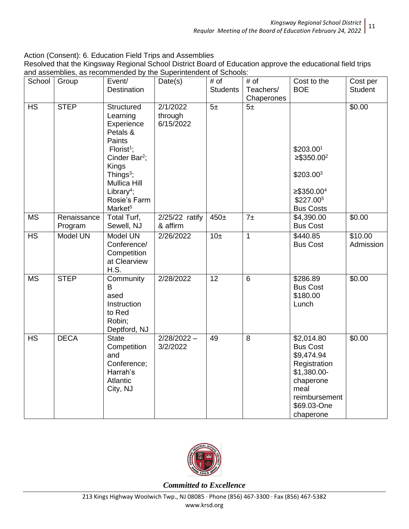Action (Consent): 6. Education Field Trips and Assemblies

| Resolved that the Kingsway Regional School District Board of Education approve the educational field trips |
|------------------------------------------------------------------------------------------------------------|
| and assemblies, as recommended by the Superintendent of Schools:                                           |

| School                   | Group                  | Event/<br>Destination                                                                                                                                                                                                       | Date(s)                          | # of<br><b>Students</b> | # of<br>Teachers/<br>Chaperones | Cost to the<br><b>BOE</b>                                                                                                                    | Cost per<br><b>Student</b> |
|--------------------------|------------------------|-----------------------------------------------------------------------------------------------------------------------------------------------------------------------------------------------------------------------------|----------------------------------|-------------------------|---------------------------------|----------------------------------------------------------------------------------------------------------------------------------------------|----------------------------|
| <b>HS</b>                | <b>STEP</b>            | Structured<br>Learning<br>Experience<br>Petals &<br>Paints<br>Florist <sup>1</sup> ;<br>Cinder Bar <sup>2</sup> ;<br>Kings<br>Things $3$ ;<br>Mullica Hill<br>Library <sup>4</sup> ;<br>Rosie's Farm<br>Market <sup>5</sup> | 2/1/2022<br>through<br>6/15/2022 | 5±                      | 5±                              | \$203.001<br>$≥$ \$350.00 <sup>2</sup><br>\$203.00 <sup>3</sup><br>$≥$ \$350.00 <sup>4</sup><br>\$227.005<br><b>Bus Costs</b>                | \$0.00                     |
| <b>MS</b>                | Renaissance<br>Program | Total Turf,<br>Sewell, NJ                                                                                                                                                                                                   | $2/25/22$ ratify<br>& affirm     | $450 \pm$               | $7\pm$                          | \$4,390.00<br><b>Bus Cost</b>                                                                                                                | \$0.00                     |
| $\overline{\mathsf{HS}}$ | Model UN               | Model UN<br>Conference/<br>Competition<br>at Clearview<br>H.S.                                                                                                                                                              | 2/26/2022                        | 10 <sub>±</sub>         | $\mathbf{1}$                    | \$440.85<br><b>Bus Cost</b>                                                                                                                  | \$10.00<br>Admission       |
| <b>MS</b>                | <b>STEP</b>            | Community<br>B<br>ased<br>Instruction<br>to Red<br>Robin;<br>Deptford, NJ                                                                                                                                                   | 2/28/2022                        | 12                      | $\,6$                           | \$286.89<br><b>Bus Cost</b><br>\$180.00<br>Lunch                                                                                             | \$0.00                     |
| <b>HS</b>                | <b>DECA</b>            | <b>State</b><br>Competition<br>and<br>Conference;<br>Harrah's<br>Atlantic<br>City, NJ                                                                                                                                       | $2/28/2022 -$<br>3/2/2022        | 49                      | 8                               | \$2,014.80<br><b>Bus Cost</b><br>\$9,474.94<br>Registration<br>\$1,380.00-<br>chaperone<br>meal<br>reimbursement<br>\$69.03-One<br>chaperone | \$0.00                     |

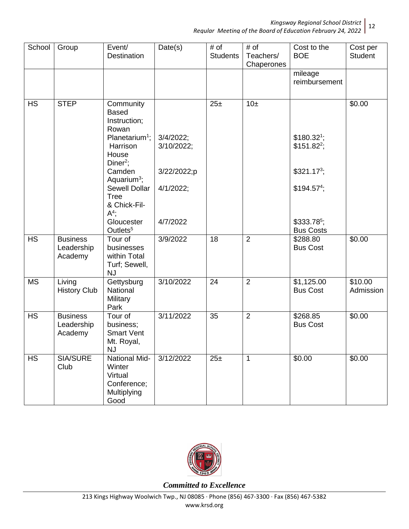*Regular Meeting of the Board of Education February 24, 2022* 12

| School    | Group                                    | Event/<br>Destination                                                                                                                                                                                                                                     | Date(s)                                                            | # of<br><b>Students</b> | # of<br>Teachers/<br>Chaperones | Cost to the<br><b>BOE</b>                                                                        | Cost per<br>Student  |
|-----------|------------------------------------------|-----------------------------------------------------------------------------------------------------------------------------------------------------------------------------------------------------------------------------------------------------------|--------------------------------------------------------------------|-------------------------|---------------------------------|--------------------------------------------------------------------------------------------------|----------------------|
|           |                                          |                                                                                                                                                                                                                                                           |                                                                    |                         |                                 | mileage<br>reimbursement                                                                         |                      |
| <b>HS</b> | <b>STEP</b>                              | Community<br><b>Based</b><br>Instruction;<br>Rowan<br>Planetarium <sup>1</sup> ;<br>Harrison<br>House<br>$Diner2$ ;<br>Camden<br>Aquarium <sup>3</sup> ;<br>Sewell Dollar<br><b>Tree</b><br>& Chick-Fil-<br>$A^4$ ;<br>Gloucester<br>Outlets <sup>5</sup> | $3/4/2022$ ;<br>3/10/2022;<br>3/22/2022;p<br>4/1/2022;<br>4/7/2022 | 25±                     | 10±                             | $$180.32^1;$<br>$$151.82^2;$<br>$$321.173$ ;<br>$$194.574$ ;<br>$$333.785$ ;<br><b>Bus Costs</b> | \$0.00               |
| <b>HS</b> | <b>Business</b><br>Leadership<br>Academy | Tour of<br>businesses<br>within Total<br>Turf; Sewell,<br><b>NJ</b>                                                                                                                                                                                       | 3/9/2022                                                           | 18                      | 2                               | \$288.80<br><b>Bus Cost</b>                                                                      | \$0.00               |
| <b>MS</b> | Living<br><b>History Club</b>            | Gettysburg<br>National<br>Military<br>Park                                                                                                                                                                                                                | 3/10/2022                                                          | 24                      | $\overline{2}$                  | \$1,125.00<br><b>Bus Cost</b>                                                                    | \$10.00<br>Admission |
| <b>HS</b> | <b>Business</b><br>Leadership<br>Academy | Tour of<br>business;<br><b>Smart Vent</b><br>Mt. Royal,<br><b>NJ</b>                                                                                                                                                                                      | 3/11/2022                                                          | 35                      | 2                               | \$268.85<br><b>Bus Cost</b>                                                                      | \$0.00               |
| <b>HS</b> | <b>SIA/SURE</b><br>Club                  | <b>National Mid-</b><br>Winter<br>Virtual<br>Conference;<br>Multiplying<br>Good                                                                                                                                                                           | 3/12/2022                                                          | 25±                     | $\mathbf{1}$                    | \$0.00                                                                                           | \$0.00               |

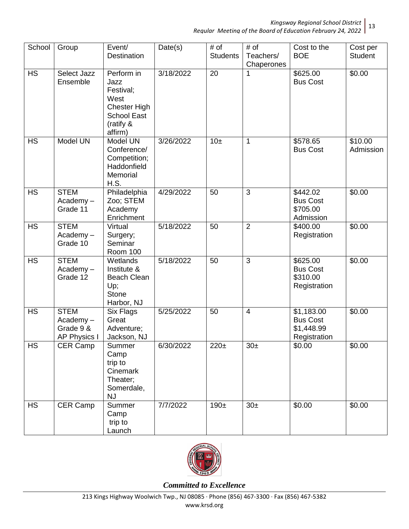| School    | Group                                                          | Event/<br>Destination                                                                                        | Date(s)   | # of<br><b>Students</b> | # of<br>Teachers/<br>Chaperones | Cost to the<br><b>BOE</b>                                   | Cost per<br><b>Student</b> |
|-----------|----------------------------------------------------------------|--------------------------------------------------------------------------------------------------------------|-----------|-------------------------|---------------------------------|-------------------------------------------------------------|----------------------------|
| <b>HS</b> | <b>Select Jazz</b><br>Ensemble                                 | Perform in<br>Jazz<br>Festival;<br>West<br><b>Chester High</b><br><b>School East</b><br>(ratify &<br>affirm) | 3/18/2022 | 20                      | 1                               | \$625.00<br><b>Bus Cost</b>                                 | \$0.00                     |
| <b>HS</b> | Model UN                                                       | Model UN<br>Conference/<br>Competition;<br>Haddonfield<br>Memorial<br>H.S.                                   | 3/26/2022 | 10±                     | 1                               | \$578.65<br><b>Bus Cost</b>                                 | \$10.00<br>Admission       |
| <b>HS</b> | <b>STEM</b><br>$Academy -$<br>Grade 11                         | Philadelphia<br>Zoo; STEM<br>Academy<br>Enrichment                                                           | 4/29/2022 | 50                      | 3                               | \$442.02<br><b>Bus Cost</b><br>\$705.00<br>Admission        | \$0.00                     |
| <b>HS</b> | <b>STEM</b><br>$Academy -$<br>Grade 10                         | Virtual<br>Surgery;<br>Seminar<br>Room 100                                                                   | 5/18/2022 | 50                      | $\overline{2}$                  | \$400.00<br>Registration                                    | \$0.00                     |
| <b>HS</b> | <b>STEM</b><br>Academy-<br>Grade 12                            | Wetlands<br>Institute &<br><b>Beach Clean</b><br>Up;<br><b>Stone</b><br>Harbor, NJ                           | 5/18/2022 | 50                      | $\overline{3}$                  | \$625.00<br><b>Bus Cost</b><br>\$310.00<br>Registration     | \$0.00                     |
| <b>HS</b> | <b>STEM</b><br>$Academy -$<br>Grade 9 &<br><b>AP Physics I</b> | <b>Six Flags</b><br>Great<br>Adventure;<br>Jackson, NJ                                                       | 5/25/2022 | 50                      | $\overline{4}$                  | \$1,183.00<br><b>Bus Cost</b><br>\$1,448.99<br>Registration | \$0.00                     |
| <b>HS</b> | CER Camp                                                       | Summer<br>Camp<br>trip to<br>Cinemark<br>Theater;<br>Somerdale,<br>NJ                                        | 6/30/2022 | $220 \pm$               | $30\pm$                         | \$0.00                                                      | \$0.00                     |
| <b>HS</b> | CER Camp                                                       | Summer<br>Camp<br>trip to<br>Launch                                                                          | 7/7/2022  | $190+$                  | $30\pm$                         | \$0.00                                                      | \$0.00                     |

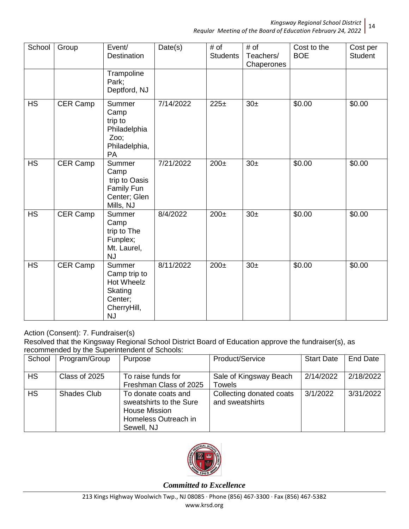| School    | Group    | Event/<br><b>Destination</b>                                                                  | Date(s)   | # of<br><b>Students</b> | # of<br>Teachers/<br>Chaperones | Cost to the<br><b>BOE</b> | Cost per<br><b>Student</b> |
|-----------|----------|-----------------------------------------------------------------------------------------------|-----------|-------------------------|---------------------------------|---------------------------|----------------------------|
|           |          | Trampoline<br>Park;<br>Deptford, NJ                                                           |           |                         |                                 |                           |                            |
| HS        | CER Camp | Summer<br>Camp<br>trip to<br>Philadelphia<br>Zoo;<br>Philadelphia,<br>PA                      | 7/14/2022 | 225±                    | 30 <sub>±</sub>                 | \$0.00                    | \$0.00                     |
| <b>HS</b> | CER Camp | Summer<br>Camp<br>trip to Oasis<br>Family Fun<br>Center; Glen<br>Mills, NJ                    | 7/21/2022 | $200\pm$                | 30 <sub>±</sub>                 | \$0.00                    | \$0.00                     |
| <b>HS</b> | CER Camp | Summer<br>Camp<br>trip to The<br>Funplex;<br>Mt. Laurel,<br><b>NJ</b>                         | 8/4/2022  | $200\pm$                | 30 <sub>±</sub>                 | \$0.00                    | \$0.00                     |
| <b>HS</b> | CER Camp | Summer<br>Camp trip to<br><b>Hot Wheelz</b><br>Skating<br>Center;<br>CherryHill,<br><b>NJ</b> | 8/11/2022 | $200\pm$                | 30 <sub>±</sub>                 | \$0.00                    | \$0.00                     |

# Action (Consent): 7. Fundraiser(s)

Resolved that the Kingsway Regional School District Board of Education approve the fundraiser(s), as recommended by the Superintendent of Schools:

| School    | Program/Group      | Purpose                                                                                                      | Product/Service                             | <b>Start Date</b> | End Date  |
|-----------|--------------------|--------------------------------------------------------------------------------------------------------------|---------------------------------------------|-------------------|-----------|
| <b>HS</b> | Class of 2025      | To raise funds for<br>Freshman Class of 2025                                                                 | Sale of Kingsway Beach<br><b>Towels</b>     | 2/14/2022         | 2/18/2022 |
| <b>HS</b> | <b>Shades Club</b> | To donate coats and<br>sweatshirts to the Sure<br><b>House Mission</b><br>Homeless Outreach in<br>Sewell, NJ | Collecting donated coats<br>and sweatshirts | 3/1/2022          | 3/31/2022 |